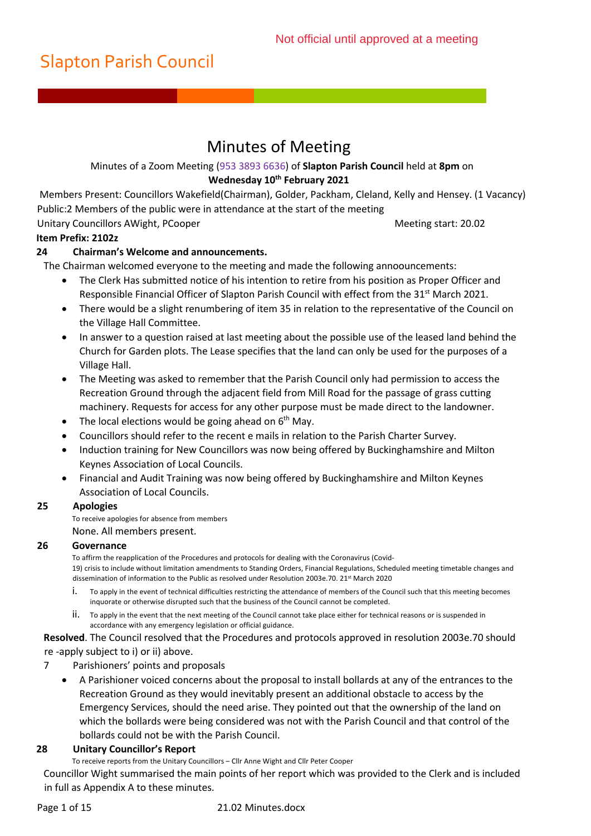# Minutes of Meeting

### Minutes of a Zoom Meeting (953 3893 6636) of **Slapton Parish Council** held at **8pm** on **Wednesday 10th February 2021**

Members Present: Councillors Wakefield(Chairman), Golder, Packham, Cleland, Kelly and Hensey. (1 Vacancy) Public:2 Members of the public were in attendance at the start of the meeting

### Unitary Councillors AWight, PCooper **Meeting start: 20.02** Meeting start: 20.02

## **Item Prefix: 2102z**

## **24 Chairman's Welcome and announcements.**

The Chairman welcomed everyone to the meeting and made the following annoouncements:

- The Clerk Has submitted notice of his intention to retire from his position as Proper Officer and Responsible Financial Officer of Slapton Parish Council with effect from the 31<sup>st</sup> March 2021.
- There would be a slight renumbering of item 35 in relation to the representative of the Council on the Village Hall Committee.
- In answer to a question raised at last meeting about the possible use of the leased land behind the Church for Garden plots. The Lease specifies that the land can only be used for the purposes of a Village Hall.
- The Meeting was asked to remember that the Parish Council only had permission to access the Recreation Ground through the adjacent field from Mill Road for the passage of grass cutting machinery. Requests for access for any other purpose must be made direct to the landowner.
- The local elections would be going ahead on  $6<sup>th</sup>$  May.
- Councillors should refer to the recent e mails in relation to the Parish Charter Survey.
- Induction training for New Councillors was now being offered by Buckinghamshire and Milton Keynes Association of Local Councils.
- Financial and Audit Training was now being offered by Buckinghamshire and Milton Keynes Association of Local Councils.

## **25 Apologies**

To receive apologies for absence from members None. All members present.

## **26 Governance**

To affirm the reapplication of the Procedures and protocols for dealing with the Coronavirus (Covid-19) crisis to include without limitation amendments to Standing Orders, Financial Regulations, Scheduled meeting timetable changes and dissemination of information to the Public as resolved under Resolution 2003e.70. 21<sup>st</sup> March 2020

- i. To apply in the event of technical difficulties restricting the attendance of members of the Council such that this meeting becomes inquorate or otherwise disrupted such that the business of the Council cannot be completed.
- ii. To apply in the event that the next meeting of the Council cannot take place either for technical reasons or is suspended in accordance with any emergency legislation or official guidance.

**Resolved**. The Council resolved that the Procedures and protocols approved in resolution 2003e.70 should re -apply subject to i) or ii) above.

- 7 Parishioners' points and proposals
	- A Parishioner voiced concerns about the proposal to install bollards at any of the entrances to the Recreation Ground as they would inevitably present an additional obstacle to access by the Emergency Services, should the need arise. They pointed out that the ownership of the land on which the bollards were being considered was not with the Parish Council and that control of the bollards could not be with the Parish Council.

#### **28 Unitary Councillor's Report**

To receive reports from the Unitary Councillors – Cllr Anne Wight and Cllr Peter Cooper

Councillor Wight summarised the main points of her report which was provided to the Clerk and is included in full as Appendix A to these minutes.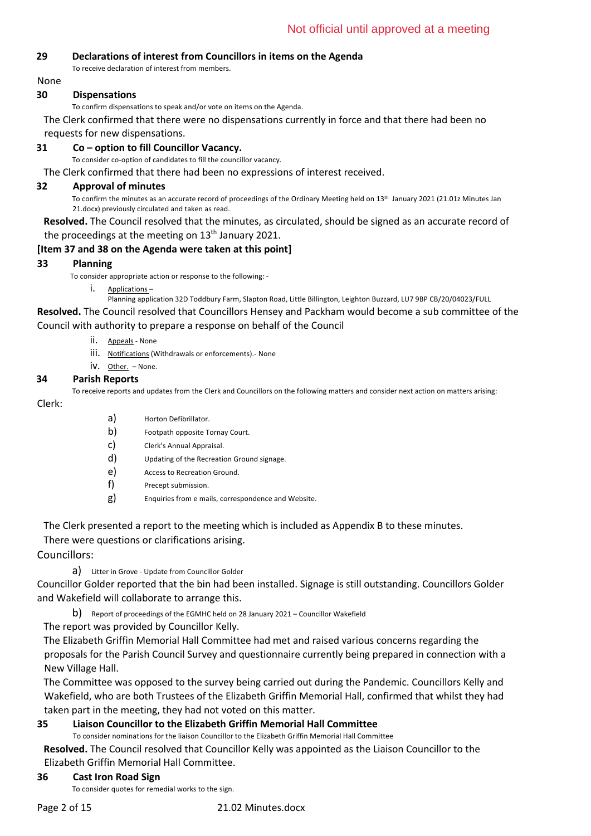#### **29 Declarations of interest from Councillors in items on the Agenda**

To receive declaration of interest from members.

None

#### **30 Dispensations**

To confirm dispensations to speak and/or vote on items on the Agenda.

The Clerk confirmed that there were no dispensations currently in force and that there had been no requests for new dispensations.

### **31 Co – option to fill Councillor Vacancy.**

To consider co-option of candidates to fill the councillor vacancy.

The Clerk confirmed that there had been no expressions of interest received.

#### **32 Approval of minutes**

To confirm the minutes as an accurate record of proceedings of the Ordinary Meeting held on 13th January 2021 (21.01z Minutes Jan 21.docx) previously circulated and taken as read.

**Resolved.** The Council resolved that the minutes, as circulated, should be signed as an accurate record of the proceedings at the meeting on  $13<sup>th</sup>$  January 2021.

#### **[Item 37 and 38 on the Agenda were taken at this point]**

#### **33 Planning**

To consider appropriate action or response to the following: -

i. Applications –

Planning application 32D Toddbury Farm, Slapton Road, Little Billington, Leighton Buzzard, LU7 9BP CB/20/04023/FULL

**Resolved.** The Council resolved that Councillors Hensey and Packham would become a sub committee of the Council with authority to prepare a response on behalf of the Council

- ii. Appeals None
- iii. Notifications (Withdrawals or enforcements).- None
- iv. Other. None.

#### **34 Parish Reports**

To receive reports and updates from the Clerk and Councillors on the following matters and consider next action on matters arising: Clerk:

- a) Horton Defibrillator.
- b) Footpath opposite Tornay Court.
- c) Clerk's Annual Appraisal.
- d) Updating of the Recreation Ground signage.
- e) Access to Recreation Ground.
- f) Precept submission.
- g) Enquiries from e mails, correspondence and Website.

The Clerk presented a report to the meeting which is included as Appendix B to these minutes.

There were questions or clarifications arising.

Councillors:

#### a) Litter in Grove - Update from Councillor Golder

Councillor Golder reported that the bin had been installed. Signage is still outstanding. Councillors Golder and Wakefield will collaborate to arrange this.

b) Report of proceedings of the EGMHC held on 28 January 2021 – Councillor Wakefield

The report was provided by Councillor Kelly.

The Elizabeth Griffin Memorial Hall Committee had met and raised various concerns regarding the proposals for the Parish Council Survey and questionnaire currently being prepared in connection with a New Village Hall.

The Committee was opposed to the survey being carried out during the Pandemic. Councillors Kelly and Wakefield, who are both Trustees of the Elizabeth Griffin Memorial Hall, confirmed that whilst they had taken part in the meeting, they had not voted on this matter.

## **35 Liaison Councillor to the Elizabeth Griffin Memorial Hall Committee**

To consider nominations for the liaison Councillor to the Elizabeth Griffin Memorial Hall Committee

**Resolved.** The Council resolved that Councillor Kelly was appointed as the Liaison Councillor to the Elizabeth Griffin Memorial Hall Committee.

#### **36 Cast Iron Road Sign**

To consider quotes for remedial works to the sign.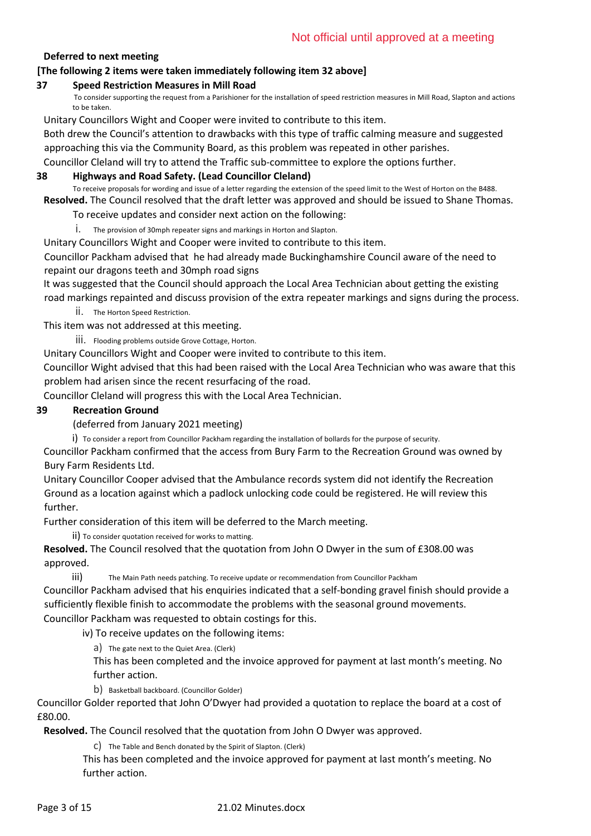## **Deferred to next meeting**

### **[The following 2 items were taken immediately following item 32 above]**

#### **37 Speed Restriction Measures in Mill Road**

To consider supporting the request from a Parishioner for the installation of speed restriction measures in Mill Road, Slapton and actions to be taken.

Unitary Councillors Wight and Cooper were invited to contribute to this item.

Both drew the Council's attention to drawbacks with this type of traffic calming measure and suggested approaching this via the Community Board, as this problem was repeated in other parishes.

Councillor Cleland will try to attend the Traffic sub-committee to explore the options further.

#### **38 Highways and Road Safety. (Lead Councillor Cleland)**

To receive proposals for wording and issue of a letter regarding the extension of the speed limit to the West of Horton on the B488. **Resolved.** The Council resolved that the draft letter was approved and should be issued to Shane Thomas.

To receive updates and consider next action on the following:

i. The provision of 30mph repeater signs and markings in Horton and Slapton.

Unitary Councillors Wight and Cooper were invited to contribute to this item.

Councillor Packham advised that he had already made Buckinghamshire Council aware of the need to repaint our dragons teeth and 30mph road signs

It was suggested that the Council should approach the Local Area Technician about getting the existing road markings repainted and discuss provision of the extra repeater markings and signs during the process.

 $ii.$  The Horton Speed Restriction.

This item was not addressed at this meeting.

iii. Flooding problems outside Grove Cottage, Horton.

Unitary Councillors Wight and Cooper were invited to contribute to this item.

Councillor Wight advised that this had been raised with the Local Area Technician who was aware that this problem had arisen since the recent resurfacing of the road.

Councillor Cleland will progress this with the Local Area Technician.

#### **39 Recreation Ground**

(deferred from January 2021 meeting)

i) To consider a report from Councillor Packham regarding the installation of bollards for the purpose of security.

Councillor Packham confirmed that the access from Bury Farm to the Recreation Ground was owned by Bury Farm Residents Ltd.

Unitary Councillor Cooper advised that the Ambulance records system did not identify the Recreation Ground as a location against which a padlock unlocking code could be registered. He will review this further.

Further consideration of this item will be deferred to the March meeting.

ii) To consider quotation received for works to matting.

**Resolved.** The Council resolved that the quotation from John O Dwyer in the sum of £308.00 was approved.

iii) The Main Path needs patching. To receive update or recommendation from Councillor Packham

Councillor Packham advised that his enquiries indicated that a self-bonding gravel finish should provide a sufficiently flexible finish to accommodate the problems with the seasonal ground movements. Councillor Packham was requested to obtain costings for this.

iv) To receive updates on the following items:

a) The gate next to the Quiet Area. (Clerk)

This has been completed and the invoice approved for payment at last month's meeting. No further action.

b) Basketball backboard. (Councillor Golder)

Councillor Golder reported that John O'Dwyer had provided a quotation to replace the board at a cost of £80.00.

**Resolved.** The Council resolved that the quotation from John O Dwyer was approved.

c) The Table and Bench donated by the Spirit of Slapton. (Clerk)

This has been completed and the invoice approved for payment at last month's meeting. No further action.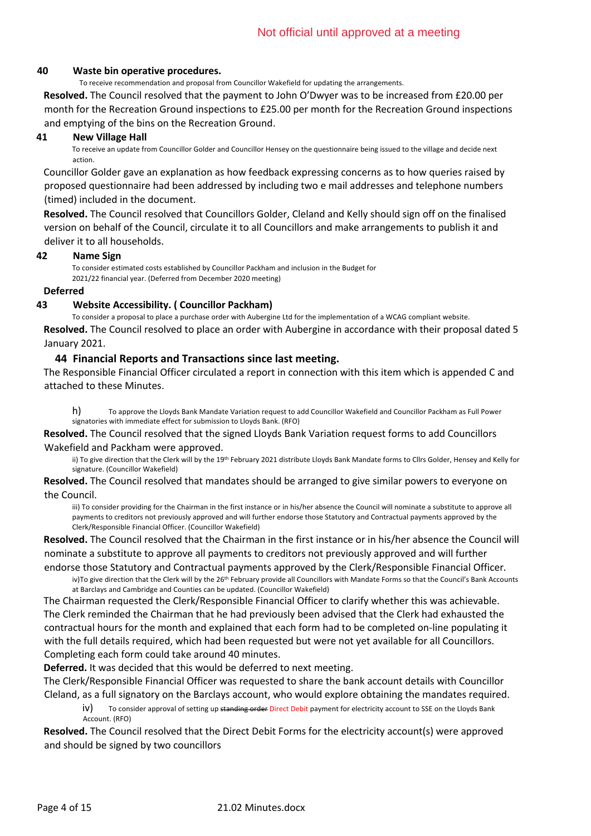#### **40 Waste bin operative procedures.**

To receive recommendation and proposal from Councillor Wakefield for updating the arrangements.

**Resolved.** The Council resolved that the payment to John O'Dwyer was to be increased from £20.00 per month for the Recreation Ground inspections to £25.00 per month for the Recreation Ground inspections and emptying of the bins on the Recreation Ground.

#### **41 New Village Hall**

To receive an update from Councillor Golder and Councillor Hensey on the questionnaire being issued to the village and decide next action.

Councillor Golder gave an explanation as how feedback expressing concerns as to how queries raised by proposed questionnaire had been addressed by including two e mail addresses and telephone numbers (timed) included in the document.

**Resolved.** The Council resolved that Councillors Golder, Cleland and Kelly should sign off on the finalised version on behalf of the Council, circulate it to all Councillors and make arrangements to publish it and deliver it to all households.

#### **42 Name Sign**

To consider estimated costs established by Councillor Packham and inclusion in the Budget for 2021/22 financial year. (Deferred from December 2020 meeting)

#### **Deferred**

#### **43 Website Accessibility. ( Councillor Packham)**

To consider a proposal to place a purchase order with Aubergine Ltd for the implementation of a WCAG compliant website. **Resolved.** The Council resolved to place an order with Aubergine in accordance with their proposal dated 5 January 2021.

#### **44 Financial Reports and Transactions since last meeting.**

The Responsible Financial Officer circulated a report in connection with this item which is appended C and attached to these Minutes.

h) To approve the Lloyds Bank Mandate Variation request to add Councillor Wakefield and Councillor Packham as Full Power signatories with immediate effect for submission to Lloyds Bank. (RFO)

**Resolved.** The Council resolved that the signed Lloyds Bank Variation request forms to add Councillors Wakefield and Packham were approved.

ii) To give direction that the Clerk will by the 19<sup>th</sup> February 2021 distribute Lloyds Bank Mandate forms to Cllrs Golder, Hensey and Kelly for signature. (Councillor Wakefield)

**Resolved.** The Council resolved that mandates should be arranged to give similar powers to everyone on the Council.

iii) To consider providing for the Chairman in the first instance or in his/her absence the Council will nominate a substitute to approve all payments to creditors not previously approved and will further endorse those Statutory and Contractual payments approved by the Clerk/Responsible Financial Officer. (Councillor Wakefield)

**Resolved.** The Council resolved that the Chairman in the first instance or in his/her absence the Council will nominate a substitute to approve all payments to creditors not previously approved and will further

endorse those Statutory and Contractual payments approved by the Clerk/Responsible Financial Officer. iv)To give direction that the Clerk will by the 26<sup>th</sup> February provide all Councillors with Mandate Forms so that the Council's Bank Accounts

at Barclays and Cambridge and Counties can be updated. (Councillor Wakefield) The Chairman requested the Clerk/Responsible Financial Officer to clarify whether this was achievable. The Clerk reminded the Chairman that he had previously been advised that the Clerk had exhausted the contractual hours for the month and explained that each form had to be completed on-line populating it with the full details required, which had been requested but were not yet available for all Councillors. Completing each form could take around 40 minutes.

**Deferred.** It was decided that this would be deferred to next meeting.

The Clerk/Responsible Financial Officer was requested to share the bank account details with Councillor Cleland, as a full signatory on the Barclays account, who would explore obtaining the mandates required.

iv) To consider approval of setting up standing order Direct Debit payment for electricity account to SSE on the Lloyds Bank Account. (RFO)

**Resolved.** The Council resolved that the Direct Debit Forms for the electricity account(s) were approved and should be signed by two councillors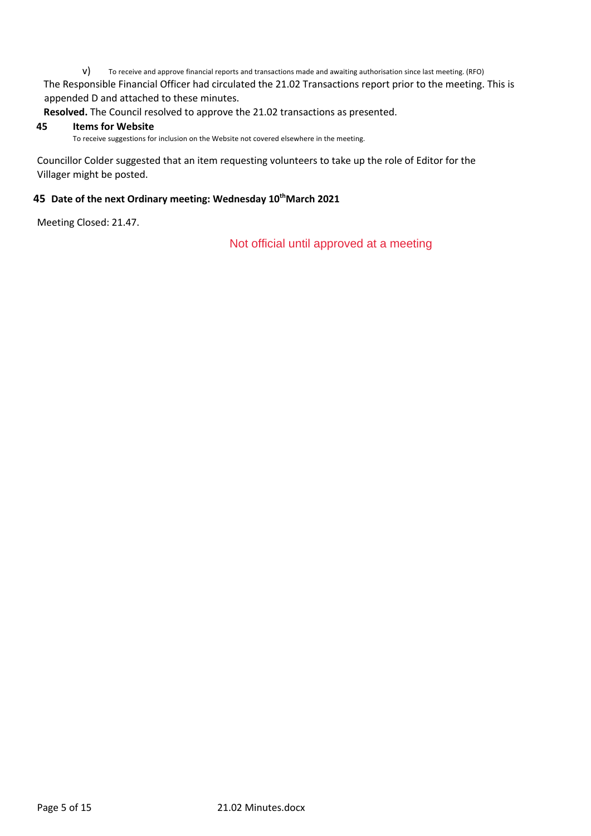v) To receive and approve financial reports and transactions made and awaiting authorisation since last meeting. (RFO) The Responsible Financial Officer had circulated the 21.02 Transactions report prior to the meeting. This is appended D and attached to these minutes.

**Resolved.** The Council resolved to approve the 21.02 transactions as presented.

#### **45 Items for Website**

To receive suggestions for inclusion on the Website not covered elsewhere in the meeting.

Councillor Colder suggested that an item requesting volunteers to take up the role of Editor for the Villager might be posted.

### **45 Date of the next Ordinary meeting: Wednesday 10thMarch 2021**

Meeting Closed: 21.47.

Not official until approved at a meeting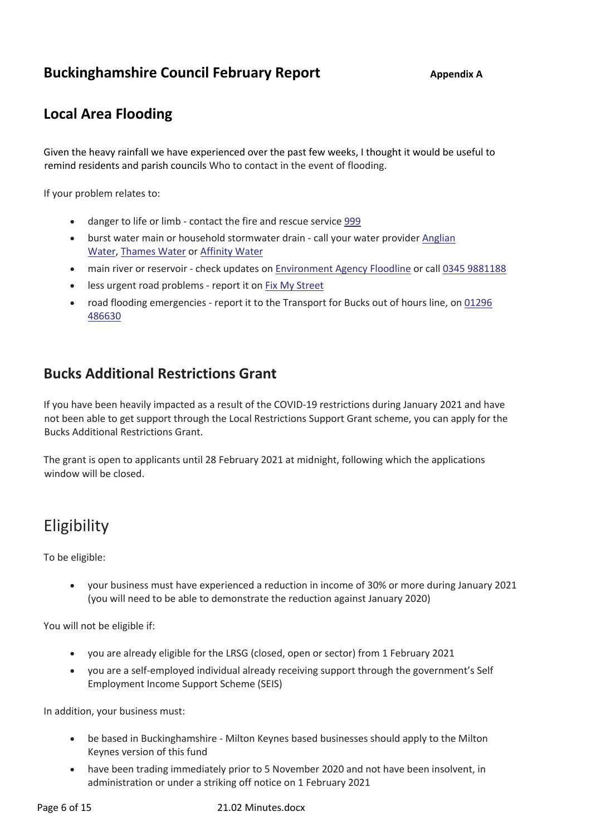## **Buckinghamshire Council February Report** Appendix A

## **Local Area Flooding**

Given the heavy rainfall we have experienced over the past few weeks, I thought it would be useful to remind residents and parish councils Who to contact in the event of flooding.

If your problem relates to:

- danger to life or limb contact the fire and rescue service 999
- burst water main or household stormwater drain call your water provider Anglian Water, Thames Water or Affinity Water
- main river or reservoir check updates on Environment Agency Floodline or call 0345 9881188
- less urgent road problems report it on Fix My Street
- road flooding emergencies report it to the Transport for Bucks out of hours line, on 01296 486630

## **Bucks Additional Restrictions Grant**

If you have been heavily impacted as a result of the COVID-19 restrictions during January 2021 and have not been able to get support through the Local Restrictions Support Grant scheme, you can apply for the Bucks Additional Restrictions Grant.

The grant is open to applicants until 28 February 2021 at midnight, following which the applications window will be closed.

## **Eligibility**

To be eligible:

• your business must have experienced a reduction in income of 30% or more during January 2021 (you will need to be able to demonstrate the reduction against January 2020)

You will not be eligible if:

- you are already eligible for the LRSG (closed, open or sector) from 1 February 2021
- you are a self-employed individual already receiving support through the government's Self Employment Income Support Scheme (SEIS)

In addition, your business must:

- be based in Buckinghamshire Milton Keynes based businesses should apply to the Milton Keynes version of this fund
- have been trading immediately prior to 5 November 2020 and not have been insolvent, in administration or under a striking off notice on 1 February 2021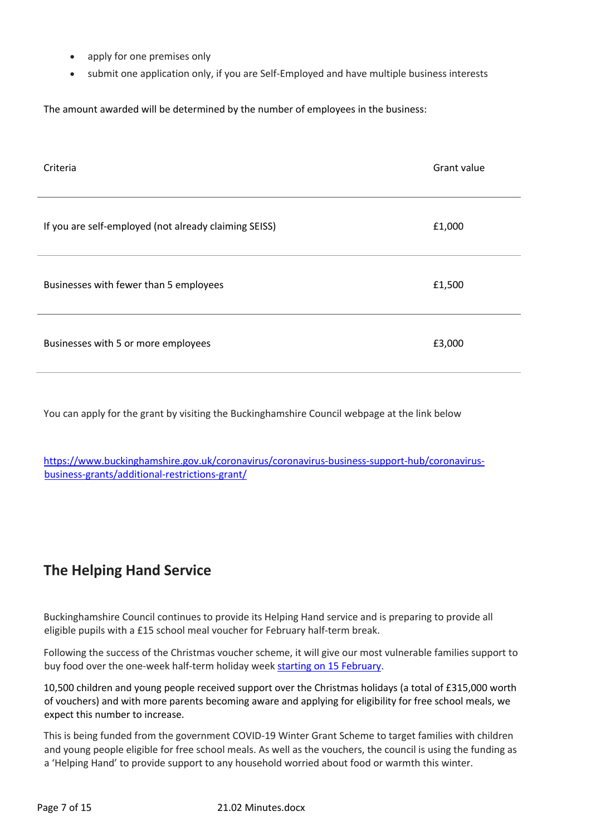- apply for one premises only
- submit one application only, if you are Self-Employed and have multiple business interests

The amount awarded will be determined by the number of employees in the business:

| Criteria                                              | Grant value |
|-------------------------------------------------------|-------------|
| If you are self-employed (not already claiming SEISS) | £1,000      |
| Businesses with fewer than 5 employees                | £1,500      |
| Businesses with 5 or more employees                   | £3,000      |

You can apply for the grant by visiting the Buckinghamshire Council webpage at the link below

https://www.buckinghamshire.gov.uk/coronavirus/coronavirus-business-support-hub/coronavirusbusiness-grants/additional-restrictions-grant/

## **The Helping Hand Service**

Buckinghamshire Council continues to provide its Helping Hand service and is preparing to provide all eligible pupils with a £15 school meal voucher for February half-term break.

Following the success of the Christmas voucher scheme, it will give our most vulnerable families support to buy food over the one-week half-term holiday week starting on 15 February.

10,500 children and young people received support over the Christmas holidays (a total of £315,000 worth of vouchers) and with more parents becoming aware and applying for eligibility for free school meals, we expect this number to increase.

This is being funded from the government COVID-19 Winter Grant Scheme to target families with children and young people eligible for free school meals. As well as the vouchers, the council is using the funding as a 'Helping Hand' to provide support to any household worried about food or warmth this winter.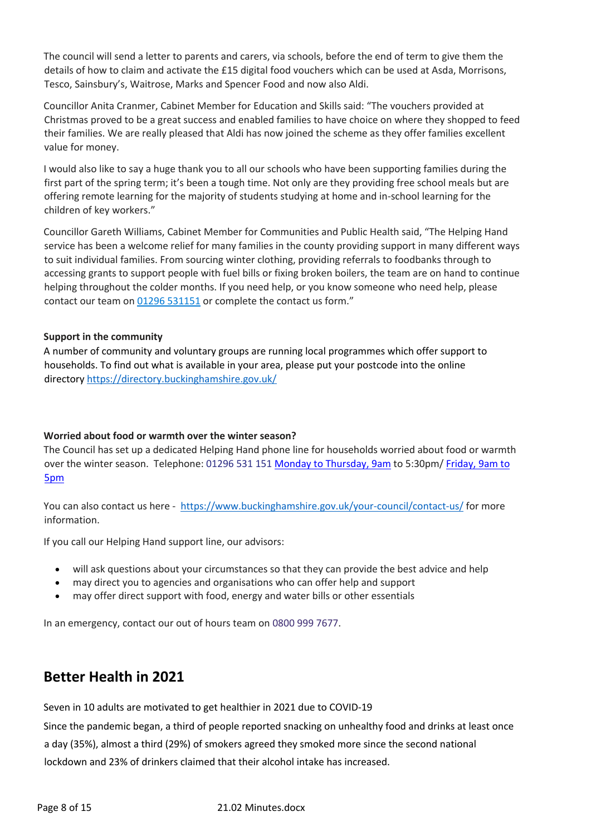The council will send a letter to parents and carers, via schools, before the end of term to give them the details of how to claim and activate the £15 digital food vouchers which can be used at Asda, Morrisons, Tesco, Sainsbury's, Waitrose, Marks and Spencer Food and now also Aldi.

Councillor Anita Cranmer, Cabinet Member for Education and Skills said: "The vouchers provided at Christmas proved to be a great success and enabled families to have choice on where they shopped to feed their families. We are really pleased that Aldi has now joined the scheme as they offer families excellent value for money.

I would also like to say a huge thank you to all our schools who have been supporting families during the first part of the spring term; it's been a tough time. Not only are they providing free school meals but are offering remote learning for the majority of students studying at home and in-school learning for the children of key workers."

Councillor Gareth Williams, Cabinet Member for Communities and Public Health said, "The Helping Hand service has been a welcome relief for many families in the county providing support in many different ways to suit individual families. From sourcing winter clothing, providing referrals to foodbanks through to accessing grants to support people with fuel bills or fixing broken boilers, the team are on hand to continue helping throughout the colder months. If you need help, or you know someone who need help, please contact our team on 01296 531151 or complete the contact us form."

### **Support in the community**

A number of community and voluntary groups are running local programmes which offer support to households. To find out what is available in your area, please put your postcode into the online directory https://directory.buckinghamshire.gov.uk/

## **Worried about food or warmth over the winter season?**

The Council has set up a dedicated Helping Hand phone line for households worried about food or warmth over the winter season. Telephone: 01296 531 151 Monday to Thursday, 9am to 5:30pm/ Friday, 9am to 5pm

You can also contact us here - https://www.buckinghamshire.gov.uk/your-council/contact-us/ for more information.

If you call our Helping Hand support line, our advisors:

- will ask questions about your circumstances so that they can provide the best advice and help
- may direct you to agencies and organisations who can offer help and support
- may offer direct support with food, energy and water bills or other essentials

In an emergency, contact our out of hours team on 0800 999 7677.

## **Better Health in 2021**

Seven in 10 adults are motivated to get healthier in 2021 due to COVID-19

Since the pandemic began, a third of people reported snacking on unhealthy food and drinks at least once a day (35%), almost a third (29%) of smokers agreed they smoked more since the second national lockdown and 23% of drinkers claimed that their alcohol intake has increased.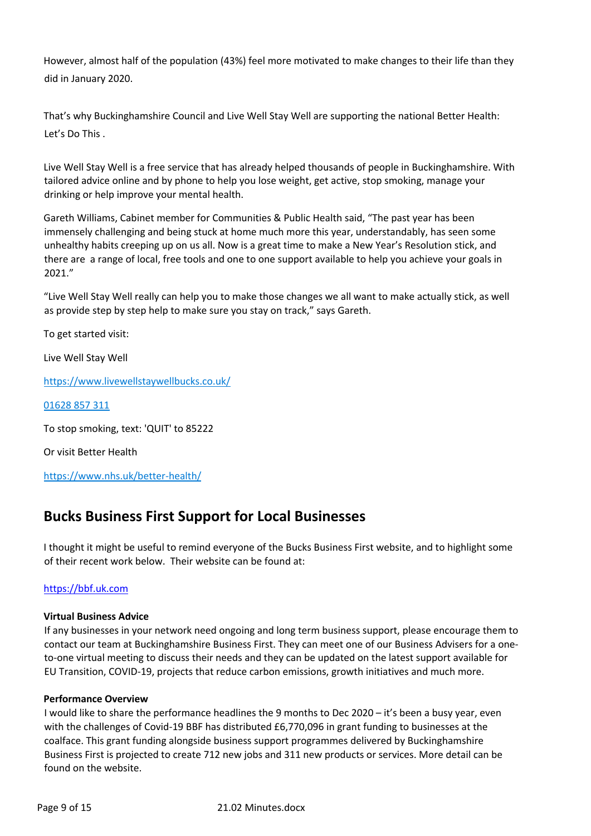However, almost half of the population (43%) feel more motivated to make changes to their life than they did in January 2020.

That's why Buckinghamshire Council and Live Well Stay Well are supporting the national Better Health: Let's Do This .

Live Well Stay Well is a free service that has already helped thousands of people in Buckinghamshire. With tailored advice online and by phone to help you lose weight, get active, stop smoking, manage your drinking or help improve your mental health.

Gareth Williams, Cabinet member for Communities & Public Health said, "The past year has been immensely challenging and being stuck at home much more this year, understandably, has seen some unhealthy habits creeping up on us all. Now is a great time to make a New Year's Resolution stick, and there are a range of local, free tools and one to one support available to help you achieve your goals in 2021."

"Live Well Stay Well really can help you to make those changes we all want to make actually stick, as well as provide step by step help to make sure you stay on track," says Gareth.

To get started visit:

Live Well Stay Well

https://www.livewellstaywellbucks.co.uk/

01628 857 311

To stop smoking, text: 'QUIT' to 85222

Or visit Better Health

https://www.nhs.uk/better-health/

## **Bucks Business First Support for Local Businesses**

I thought it might be useful to remind everyone of the Bucks Business First website, and to highlight some of their recent work below. Their website can be found at:

## https://bbf.uk.com

## **Virtual Business Advice**

If any businesses in your network need ongoing and long term business support, please encourage them to contact our team at Buckinghamshire Business First. They can meet one of our Business Advisers for a oneto-one virtual meeting to discuss their needs and they can be updated on the latest support available for EU Transition, COVID-19, projects that reduce carbon emissions, growth initiatives and much more.

#### **Performance Overview**

I would like to share the performance headlines the 9 months to Dec 2020 – it's been a busy year, even with the challenges of Covid-19 BBF has distributed £6,770,096 in grant funding to businesses at the coalface. This grant funding alongside business support programmes delivered by Buckinghamshire Business First is projected to create 712 new jobs and 311 new products or services. More detail can be found on the website.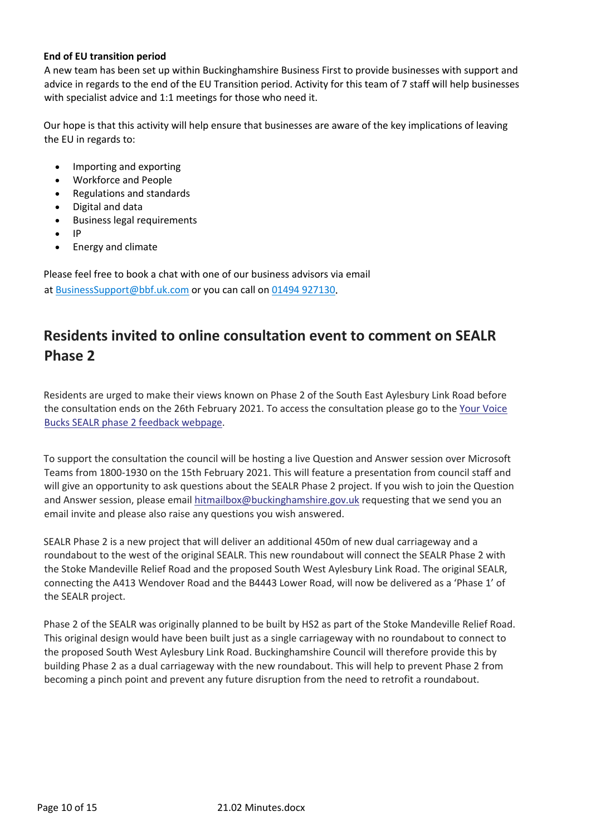### **End of EU transition period**

A new team has been set up within Buckinghamshire Business First to provide businesses with support and advice in regards to the end of the EU Transition period. Activity for this team of 7 staff will help businesses with specialist advice and 1:1 meetings for those who need it.

Our hope is that this activity will help ensure that businesses are aware of the key implications of leaving the EU in regards to:

- Importing and exporting
- Workforce and People
- Regulations and standards
- Digital and data
- Business legal requirements
- $\bullet$
- Energy and climate

Please feel free to book a chat with one of our business advisors via email at BusinessSupport@bbf.uk.com or you can call on 01494 927130.

## **Residents invited to online consultation event to comment on SEALR Phase 2**

Residents are urged to make their views known on Phase 2 of the South East Aylesbury Link Road before the consultation ends on the 26th February 2021. To access the consultation please go to the Your Voice Bucks SEALR phase 2 feedback webpage.

To support the consultation the council will be hosting a live Question and Answer session over Microsoft Teams from 1800-1930 on the 15th February 2021. This will feature a presentation from council staff and will give an opportunity to ask questions about the SEALR Phase 2 project. If you wish to join the Question and Answer session, please email hitmailbox@buckinghamshire.gov.uk requesting that we send you an email invite and please also raise any questions you wish answered.

SEALR Phase 2 is a new project that will deliver an additional 450m of new dual carriageway and a roundabout to the west of the original SEALR. This new roundabout will connect the SEALR Phase 2 with the Stoke Mandeville Relief Road and the proposed South West Aylesbury Link Road. The original SEALR, connecting the A413 Wendover Road and the B4443 Lower Road, will now be delivered as a 'Phase 1' of the SEALR project.

Phase 2 of the SEALR was originally planned to be built by HS2 as part of the Stoke Mandeville Relief Road. This original design would have been built just as a single carriageway with no roundabout to connect to the proposed South West Aylesbury Link Road. Buckinghamshire Council will therefore provide this by building Phase 2 as a dual carriageway with the new roundabout. This will help to prevent Phase 2 from becoming a pinch point and prevent any future disruption from the need to retrofit a roundabout.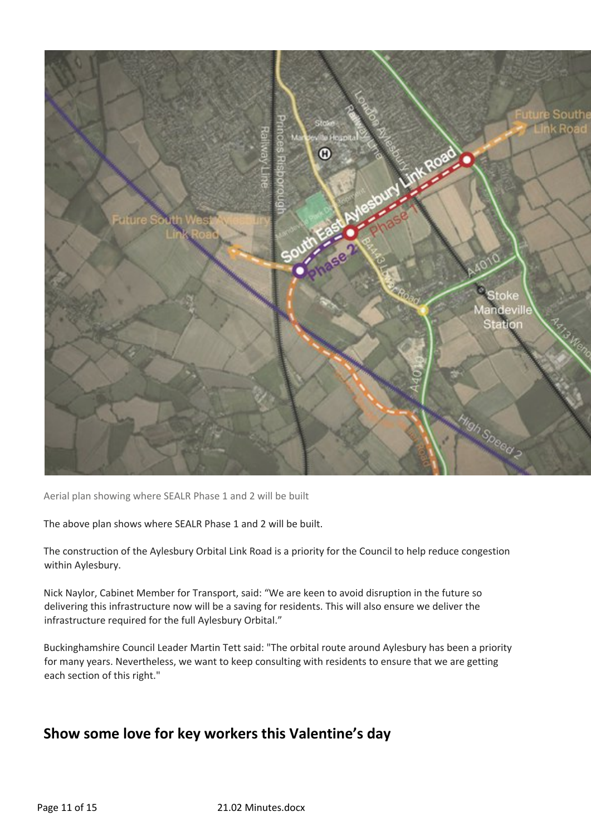

Aerial plan showing where SEALR Phase 1 and 2 will be built

The above plan shows where SEALR Phase 1 and 2 will be built.

The construction of the Aylesbury Orbital Link Road is a priority for the Council to help reduce congestion within Aylesbury.

Nick Naylor, Cabinet Member for Transport, said: "We are keen to avoid disruption in the future so delivering this infrastructure now will be a saving for residents. This will also ensure we deliver the infrastructure required for the full Aylesbury Orbital."

Buckinghamshire Council Leader Martin Tett said: "The orbital route around Aylesbury has been a priority for many years. Nevertheless, we want to keep consulting with residents to ensure that we are getting each section of this right."

## **Show some love for key workers this Valentine's day**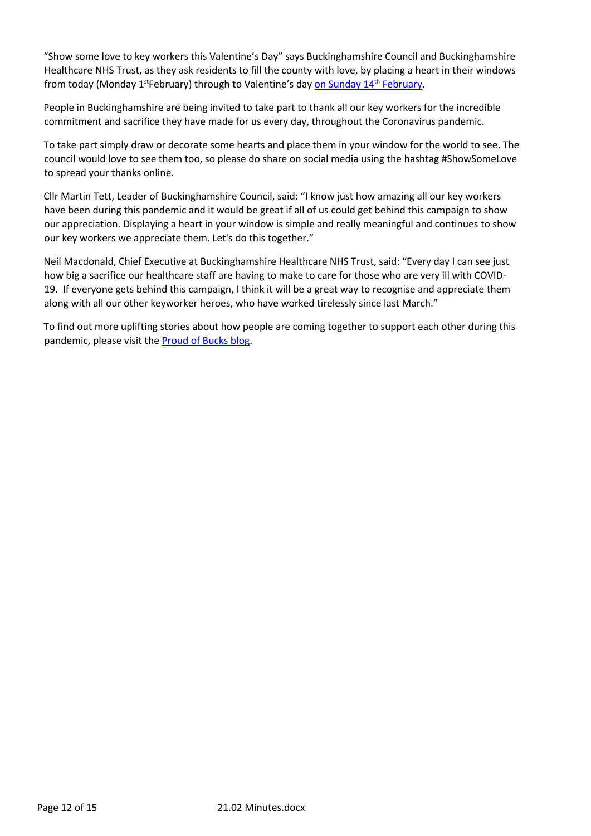"Show some love to key workers this Valentine's Day" says Buckinghamshire Council and Buckinghamshire Healthcare NHS Trust, as they ask residents to fill the county with love, by placing a heart in their windows from today (Monday 1<sup>st</sup>February) through to Valentine's day on Sunday 14<sup>th</sup> February.

People in Buckinghamshire are being invited to take part to thank all our key workers for the incredible commitment and sacrifice they have made for us every day, throughout the Coronavirus pandemic.

To take part simply draw or decorate some hearts and place them in your window for the world to see. The council would love to see them too, so please do share on social media using the hashtag #ShowSomeLove to spread your thanks online.

Cllr Martin Tett, Leader of Buckinghamshire Council, said: "I know just how amazing all our key workers have been during this pandemic and it would be great if all of us could get behind this campaign to show our appreciation. Displaying a heart in your window is simple and really meaningful and continues to show our key workers we appreciate them. Let's do this together."

Neil Macdonald, Chief Executive at Buckinghamshire Healthcare NHS Trust, said: "Every day I can see just how big a sacrifice our healthcare staff are having to make to care for those who are very ill with COVID-19. If everyone gets behind this campaign, I think it will be a great way to recognise and appreciate them along with all our other keyworker heroes, who have worked tirelessly since last March."

To find out more uplifting stories about how people are coming together to support each other during this pandemic, please visit the Proud of Bucks blog.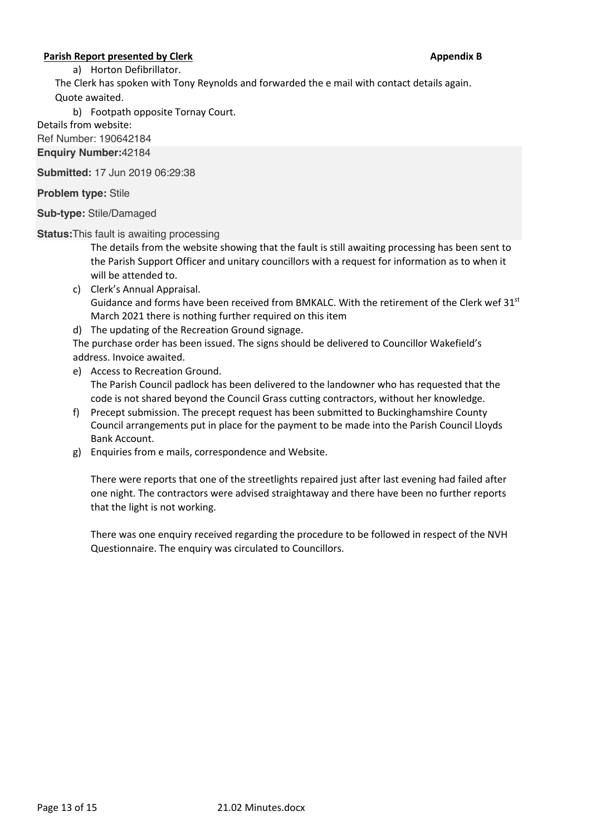### **Parish Report presented by Clerk Appendix B Appendix B Appendix B**

a) Horton Defibrillator.

The Clerk has spoken with Tony Reynolds and forwarded the e mail with contact details again. Quote awaited.

b) Footpath opposite Tornay Court.

Details from website:

Ref Number: 190642184

**Enquiry Number:**42184

**Submitted:** 17 Jun 2019 06:29:38

**Problem type:** Stile

**Sub-type:** Stile/Damaged

**Status:**This fault is awaiting processing

The details from the website showing that the fault is still awaiting processing has been sent to the Parish Support Officer and unitary councillors with a request for information as to when it will be attended to.

- c) Clerk's Annual Appraisal. Guidance and forms have been received from BMKALC. With the retirement of the Clerk wef  $31<sup>st</sup>$ March 2021 there is nothing further required on this item
- d) The updating of the Recreation Ground signage.

The purchase order has been issued. The signs should be delivered to Councillor Wakefield's address. Invoice awaited.

- e) Access to Recreation Ground. The Parish Council padlock has been delivered to the landowner who has requested that the code is not shared beyond the Council Grass cutting contractors, without her knowledge.
- f) Precept submission. The precept request has been submitted to Buckinghamshire County Council arrangements put in place for the payment to be made into the Parish Council Lloyds Bank Account.
- g) Enquiries from e mails, correspondence and Website.

There were reports that one of the streetlights repaired just after last evening had failed after one night. The contractors were advised straightaway and there have been no further reports that the light is not working.

There was one enquiry received regarding the procedure to be followed in respect of the NVH Questionnaire. The enquiry was circulated to Councillors.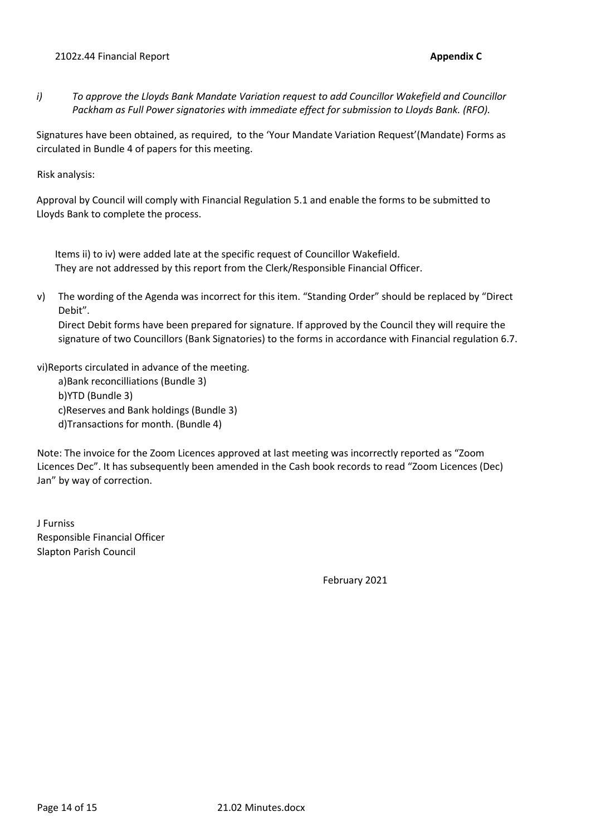*i) To approve the Lloyds Bank Mandate Variation request to add Councillor Wakefield and Councillor Packham as Full Power signatories with immediate effect for submission to Lloyds Bank. (RFO).* 

Signatures have been obtained, as required, to the 'Your Mandate Variation Request'(Mandate) Forms as circulated in Bundle 4 of papers for this meeting.

Risk analysis:

Approval by Council will comply with Financial Regulation 5.1 and enable the forms to be submitted to Lloyds Bank to complete the process.

Items ii) to iv) were added late at the specific request of Councillor Wakefield. They are not addressed by this report from the Clerk/Responsible Financial Officer.

v) The wording of the Agenda was incorrect for this item. "Standing Order" should be replaced by "Direct Debit".

Direct Debit forms have been prepared for signature. If approved by the Council they will require the signature of two Councillors (Bank Signatories) to the forms in accordance with Financial regulation 6.7.

vi)Reports circulated in advance of the meeting.

a)Bank reconcilliations (Bundle 3) b)YTD (Bundle 3) c)Reserves and Bank holdings (Bundle 3) d)Transactions for month. (Bundle 4)

Note: The invoice for the Zoom Licences approved at last meeting was incorrectly reported as "Zoom Licences Dec". It has subsequently been amended in the Cash book records to read "Zoom Licences (Dec) Jan" by way of correction.

J Furniss Responsible Financial Officer Slapton Parish Council

February 2021